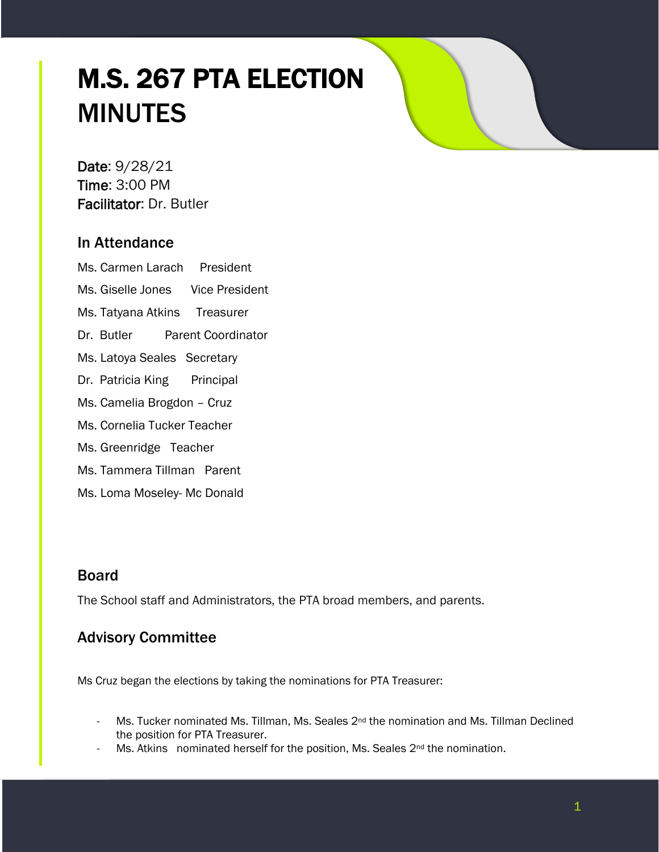## M.S. 267 PTA ELECTION MINUTES

Date: 9/28/21 Time: 3:00 PM Facilitator: Dr. Butler

## In Attendance

Ms. Carmen Larach President

Ms. Giselle Jones Vice President

Ms. Tatyana Atkins Treasurer

Dr. Butler Parent Coordinator

Ms. Latoya Seales Secretary

Dr. Patricia King Principal

Ms. Camelia Brogdon – Cruz

Ms. Cornelia Tucker Teacher

Ms. Greenridge Teacher

Ms. Tammera Tillman Parent

Ms. Loma Moseley- Mc Donald

## Board

The School staff and Administrators, the PTA broad members, and parents.

## Advisory Committee

Ms Cruz began the elections by taking the nominations for PTA Treasurer:

- Ms. Tucker nominated Ms. Tillman, Ms. Seales 2<sup>nd</sup> the nomination and Ms. Tillman Declined the position for PTA Treasurer.
- Ms. Atkins nominated herself for the position, Ms. Seales 2<sup>nd</sup> the nomination.